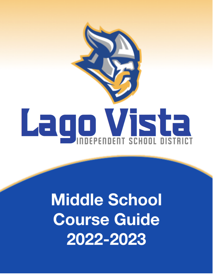

# **Middle School Course Guide** 2022-2023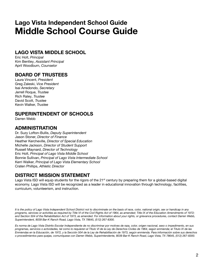## **Lago Vista Independent School Guide Middle School Course Guide**

### **LAGO VISTA MIDDLE SCHOOL**

Eric Holt, *Principal* Kim Bentley, *Assistant Principal* April Woodburn, *Counselor*

### **BOARD OF TRUSTEES**

Laura Vincent, *President* Greg Zaleski, *Vice President* Isai Arredondo, *Secretary* Jerrell Roque, *Trustee* Rich Raley, *Trustee* David Scott, *Trustee* Kevin Walker, *Trustee*

### **SUPERINTENDENT OF SCHOOLS**

Darren Webb

### **ADMINISTRATION**

Dr. Suzy Lofton-Bullis, *Deputy Superintendent* Jason Stoner, *Director of Finance* Heather Kercheville, *Director of Special Education* Michelle Jackson, *Director of Student Support* Russell Maynard, *Director of Technology* Eric Holt, *Principal of Lago Vista Middle School* Bonnie Sullivan, *Principal of Lago Vista Intermediate School* Kerri Walker, *Principal of Lago Vista Elementary School* Craten Phillips, *Athletic Director*

### **DISTRICT MISSION STATEMENT**

Lago Vista ISD will equip students for the rigors of the 21<sup>st</sup> century by preparing them for a global-based digital economy. Lago Vista ISD will be recognized as a leader in educational innovation through technology, facilities, curriculum, volunteerism, and instruction.

It is the policy of Lago Vista Independent School District not to discriminate on the basis of race, color, national origin, sex or handicap in any programs, services or activities as required by Title VI of the Civil Rights Act of 1964, as amended; Title IX of the Education Amendments of 1972; and Section 504 of the Rehabilitation Act of 1973, as amended. For information about your rights, or grievance procedures, contact Darren Webb, *Superintendent, 8039 Bar-K Ranch Road, Lago Vista, TX 78645, (512) 267-8300.*

Es norma de Lago Vista Distrito Escolar Independiente de no discriminar por motives de raza, color, origen nacional, sexo o impedimento, en sus programas, servicios o actividades, tal como lo requieren el Título VI de la Ley de Derechos Civiles de 1964, según enmienda; el Titulo IX de las Enmiendas en la Educación, de 1972, y la Sección 504 de la Ley de Rehabilitación de 1973, según enmienda. Para información sobre sus derechos o procedimientos para quejas, comuníquese con Darren Webb, Superintendente, 8039 Bar-K Ranch Road, Lago Vista, TX 78645, (512) 267-8300.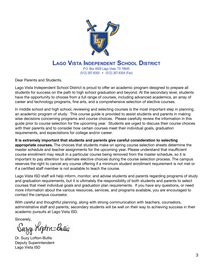

## **LAGO VISTA INDEPENDENT SCHOOL DISTRICT**

P.O. Box 4929 Lago Vista, TX 78645 (512) 267-8300 • (512) 267-8304 (Fax)

Dear Parents and Students,

Lago Vista Independent School District is proud to offer an academic program designed to prepare all students for success on the path to high school graduation and beyond. At the secondary level, students have the opportunity to choose from a full range of courses, including advanced academics, an array of career and technology programs, fine arts, and a comprehensive selection of elective courses.

In middle school and high school, reviewing and selecting courses is the most important step in planning an academic program of study. This course guide is provided to assist students and parents in making wise decisions concerning programs and course choices. Please carefully review the information in this guide prior to course selection for the upcoming year. Students are urged to discuss their course choices with their parents and to consider how certain courses meet their individual goals, graduation requirements, and expectations for college and/or career.

**It is extremely important that students and parents give careful consideration to selecting appropriate courses.** The choices that students make on spring course selection sheets determine the master schedule and teacher assignments for the upcoming year. Please understand that insufficient course enrollment may result in a particular course being removed from the master schedule, so it is important to pay attention to alternate elective choices during the course selection process. The campus reserves the right to cancel any course offering if a minimum student enrollment requirement is not met or if a certified staff member is not available to teach the course.

Lago Vista ISD staff will help inform, monitor, and advise students and parents regarding programs of study and graduation requirements, but it is ultimately the responsibility of both students and parents to select courses that meet individual goals and graduation plan requirements. If you have any questions, or need more information about the various resources, services, and programs available, you are encouraged to contact the campus counselor.

With careful and thoughtful planning, along with strong communication with teachers, counselors, administrative staff and parents, secondary students will be well on their way to achieving success in their academic pursuits at Lago Vista ISD.

Sincerely,

Suzy Kopton-Bullis

Dr. Suzy Lofton-Bullis Deputy Superintendent Lago Vista ISD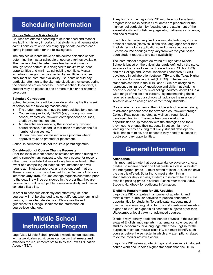## **Scheduling Information**

### **Course Selection & Availability**

Courses are offered according to student need and teacher availability. It is very important that students and parents give careful consideration to selecting appropriate courses each spring in preparation for the following year.

The choices students make on the course selection sheets determine the master schedule of course offerings available. The master schedule determines teacher assignments. Though never perfect, it is designed to maximize student opportunities and minimize scheduling conflicts. Master schedule changes may be affected by insufficient course enrollment or instructor availability. Students should pay particular attention to the alternate electives they select during the course selection process. To avoid schedule conflicts, a student may be placed in one or more of his or her alternate selections.

### **Schedule Corrections**

Schedule corrections will be considered during the first week of school for the following reasons only:

- The student does not have the prerequisites for a course.
- Course was previously TAKEN (e.g., through summer school, transfer coursework, correspondence courses, credit by examination, etc.)
- A data entry error made by the school (e.g. two first period classes, a schedule that does not contain the full number of classes, etc.)
- Student has been dismissed from a program where approval must be granted for placement.

Schedule corrections do not require a parent signature.

### **Consideration of Course Change Requests**

After the initial student course selections are made during the spring semester, any request to change a course for reasons other than those listed above will only be considered in the event of a compelling educational circumstance and will require administrator approval and a parent confirmation. These requests must be submitted to the Guidance Office no later than **July 15th.** Course change requests submitted prior to the deadline will be considered in the order that they are received and will be subject to course availability and master schedule flexibility.

In order to schedule efficiently and effectively, student courses will not be changed to select different teachers, lunch periods, or an alternate elective. Please see the exit guidelines for College Readiness for information on course-level changes.

## **Middle School Instructional Program**

Lago Vista Middle School provides middle school students with a well-balanced, rigorous curriculum that **meets and exceeds** the requirements set forth by the Texas Education Agency (TEA).

A key focus of the Lago Vista ISD middle school academic program is to make certain all students are prepared for the high school curriculum by focusing on the attainment of the essential skills in English language arts, mathematics, science, and social studies.

In addition to certain required courses, students may choose optional courses (electives) in fine arts, languages other than English, technology applications, and physical education. Elective course offerings may vary from year to year based upon student requests and staff availability.

The instructional program delivered at Lago Vista Middle School is based on the official standards defined by the state, known as the Texas Essential Knowledge and Skills (TEKS), and the College and Career Readiness Standards (CCRS), developed in collaboration between TEA and the Texas Higher Education Coordinating Board (THECB). The learning standards set forth in the TEKS and CCRS are designed to represent a full range of knowledge and skills that students need to succeed in entry-level college courses, as well as in a wide range of majors and careers. By implementing these required standards, our schools will advance the mission of Texas to develop college and career ready students.

Core academic teachers at the middle school receive training to advance preparedness for advanced coursework through College Readiness Institutes, as well as through locally developed training. These professional development opportunities equip teachers with the strategies and tools they need to engage their students in active, high-level learning, thereby ensuring that every student develops the skills, habits of mind, and concepts they need to succeed in post-secondary opportunities.

## **General Information**

### **Attendance**

It is important to note that poor attendance adversely affects grades. To receive credit or a final grade in a class, a student in kindergarten–grade 12 must attend at least 90% of the days the class is offered. By failing to meet state minimum standards for days in class, students lose credit for the class even if a passing grade is earned. Please refer to the LVISD Student Handbook for additional information.

### **Eligibility Requirements for UIL Activities**

Lago Vista ISD competes in a number of academic and athletic extra-curricular activities to provide enrichment opportunities for students. To participate, students must maintain academic eligibility. To do so, students must maintain a grade of 70% or higher in all academic subjects other than UIL exempt or locally exempt advanced courses.

Districts may identify additional honors courses in the subject areas of English language arts, mathematics, science, social studies, economics, or a language other than English for the purposes of extracurricular eligibility, but must identify such courses before the semester in which any exemptions related to extracurricular activities occur.

Lago Vista ISD values academic rigor and relevance in student course work and upholds higher standards than the UIL in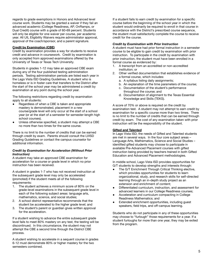regards to grade exemptions in Honors and Advanced level course work. Students may be granted a waiver if they fail an advanced academic (College Readiness, AP, OnRamps, or Dual Credit) course with a grade of 60-69 percent. Students will only be eligible for one waiver per course, per academic year. All UIL Eligibility Waivers require administrator approval, approval of the coach/sponsor, and a parent signature.

### **Credit by Examination (CBE)**

Credit by examination provides a way for students to receive credit and advance in coursework. Credit by examination is only accepted from approved examinations offered by the University of Texas or Texas Tech University.

Students in grades 1-12 may take an approved CBE exam during any of the four published testing administration periods. Testing administration periods are listed each year in the Lago Vista ISD Grading Guidelines. A student who is homeless or is in foster care that transfers to the District after the start of the school year may be administered a credit by examination at any point during the school year.

The following restrictions regarding credit by examination apply to all students:

- Regardless of when a CBE is taken and appropriate mastery is demonstrated, placement in a new course/grade level will only occur at the start of a school year (or at the start of a semester for semester-length high school courses).
- Unless otherwise specified, a student may attempt a CBE no more than two times for the same course.

There is no limit to the number of credits that can be earned through credit by exam. Parents should consult the LVISD Grading Guidelines or contact the campus counselor for additional information.

### *Credit by Examination for Acceleration (Without Prior Instruction)*

A student may take an approved CBE examination for acceleration for a course or grade level in which no prior instruction has been received.

A student in grades 1-7 who has not received instruction at the subsequent grade level may only be accelerated (promoted) if the student meets all of the following requirements:

- 1. The student achieves a minimum score of 80% on the grade-level examinations in the subsequent grade level in each of the following subject areas: language arts, mathematics, science, and social studies;
- 2. A school district representative recommends that the student be accelerated to the higher grade level; and
- 3. The student's parent or guardian gives written approval for the acceleration.

If a student wishing to advance the entire subsequent grade level fails to meet 80% mastery on any test, the testing will be discontinued. In this circumstance, the student may not attempt the CBE a second time through the District CBE process.

A student wishing to accelerate in a sequent course in grades 6-12 must demonstrate 80% or higher mastery for the two semesters combined.

If a student fails to earn credit by examination for a specific course before the beginning of the school year in which the student would ordinarily be required to enroll in that course in accordance with the District's prescribed course sequence, the student must satisfactorily complete the course to receive credit for the course.

### *Credit by Examination with Prior Instruction*

A student must have had prior formal instruction in a semester course to be eligible to gain credit by examination with prior instruction. To participate in the credit by examination with prior instruction, the student must have been enrolled in a formal course as evidenced by:

- 1. A transcript from an accredited or non-accredited institution; or
- 2. Other verified documentation that establishes evidence of a formal course, which includes:
	- a. A syllabus listing daily assignments;
	- b. An explanation of the time parameters of the course;
	- c. Documentation of the student's performance throughout the course; and
	- d. Documentation of alignment to the Texas Essential Knowledge and Skills (TEKS).

A score of 70% or above is required on the credit by examination test. A student may not attempt to earn credit by examination for a specific course more than two times. There is no limit to the number of credits that can be earned through credit by exam. The cost of any examination taken with prior instruction will be the responsibility of the student.

### **Gifted and Talented**

In Lago Vista ISD, the needs of Gifted and Talented students are met in several ways. In the four core subject areas – Language Arts, Mathematics, Science and Social Studies – identified gifted students may choose to participate in available Pre-Advanced Placement courses with gifted instruction being provided by teachers trained in both Gifted Education and Advanced Placement methodologies.

In middle school, Lago Vista ISD provides opportunities for G/T students to develop strengths and interests through:

- The G/T Enrichment Through Critical Thinking elective, which provides opportunities for students to learn organizational, study, and research skills for self-directed learning through an in-depth study project as an extension and enrichment of content;
- Differentiated curriculum, instruction, and assessment for advanced learners in our College Readiness courses;
- Acceleration and curriculum compacting in College Readiness Mathematics; and
- Extended enrichment opportunities, including guest speakers, field trips, and off-campus learning.

Students who do not participate in any of these opportunities may choose to "furlough" those requirements for a year. If a student furloughs for more than one year, they may be exited from the program.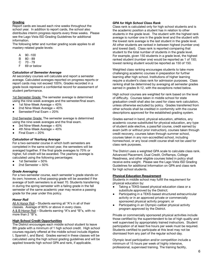### **Grading**

Report cards are issued each nine weeks throughout the school year. In addition to report cards, the school also distributes interim progress reports every three weeks. Please see the Lago Vista ISD Grading Guidelines for additional information.

The following letter and number grading scale applies to all mastery-related grade-levels:

- A 90 -100
- B 80 89
- C 70 79
- F 69 or below

### *Calculation of Semester Average*

All secondary courses will calculate and report a semester average. Calculated averages reported on progress reports or report cards may not exceed 100%. Grades recorded in a grade book represent a confidential record for assessment of student performance.

1st Semester Grade: The semester average is determined using the nine-week averages and the semester/final exam.

- $\bullet$  1st Nine-Week Average = 40%
- 2nd Nine-Week Average  $= 40\%$
- Semester/Final Exam = 20%

2nd Semester Grade: The semester average is determined using the nine-week averages and the final exam.

- 3rd Nine-Week Average = 40%
- 4th Nine-Week Average  $= 40\%$
- Final Exam  $= 20%$

### *Calculation of Yearlong Average*

For a two-semester course in which both semesters are completed in the same school year, the semesters will be averaged together. If the final grade averages to 70% or higher, full credit will be awarded. The yearlong average is calculated using the following percentages:

- 1st Semester  $= 50%$
- 2nd Semester = 50%

### *Grade Averaging*

For a two-semester course, each semester's grade stands on its own; however, a final passing grade will be awarded if the average of both semesters is at least 70. Students transferring in during the spring semester with a failing grade in the fall semester of the same academic year may receive a passing grade for the year under this policy.

### *Honor Roll*

All A Honor Roll - Students earning all "A"s in all of their classes. Average of 90% or above in every class. A & B Honor Roll - Students earning "A"s and "B"s, with no more than 2 "B"s.

### **High School Credit Opportunities**

The District encourages each middle school student to leave 8th grade with a minimum of 1 high school credit. High school courses regularly offered at the middle school include Algebra I, Spanish I, and Band. Grades earned in these classes will be calculated using the high school grading guidelines and will be applied towards high school GPA and rank, if applicable.

### *GPA for High School Class Rank*

Class rank is calculated only for high school students and is the academic position a student has in relation to other students in the grade level. The student with the highest rank average is number one in the grade level and the student with the lowest rank average is the last student in the grade level. All other students are ranked in between highest (number one) and lowest (last). Class rank is reported comparing that student to the total number of students in the grade level. For example, given 150 students in a grade level, the highest ranked student (number one) would be reported as 1 of 150; lowest ranking student would be reported as 150 of 150.

Weighted class ranking encourages students to take more challenging academic courses in preparation for further learning after high school. Institutions of higher learning require a student's class rank for admission purposes. Class ranking shall be determined by averaging all semester grades earned in grades 9–12, with the exceptions noted below.

High school courses are weighted for rank based on the level of difficulty. Courses taken in middle school for state graduation credit shall also be used for class rank calculation, unless otherwise excluded by policy. Grades transferred from other schools shall be credited in conformity with the course descriptions approved for the established grading system.

Grades earned in band, physical education, athletics, any academic course substituted for physical education, any type of student aide elective, a pass/fail course, credit earned by exam (with or without prior instruction), courses taken through credit recovery, courses taken through summer school, courses taken in any non-accredited school, including homeschool, or any local credit course shall not be used for class rank purposes.

The District uses a weighted GPA scale to calculate class rank. Advanced Placement, Dual Credit, OnRamps, College Readiness, and other eligible courses listed in policy shall receive extra weight. Please see the Lago Vista ISD Grading Guidelines for additional Information on GPA and class rank for high school students.

### **Physical Education Requirement**

Students in middle school may fulfill the requirement for physical education by:

- Taking a TEKS-based physical education class or a substitute approved by the District;
- Participating in a TEKS-based structured extracurricular activity or in an approved private or commercially sponsored physical activity program; or
- Participating in an Olympic-caliber physical activity program approved by the District.

Private or commercially sponsored physical activities include those certified by the superintendent to be of high quality and well supervised by appropriately trained instructors. Student participation of at least five hours per week must be required. Students certified to participate at this level may not be dismissed from any part of the regular school day.

Olympic level participation and/or competition include a minimum of 15 hours per week of highly intensive, professional, supervised training. The training facility,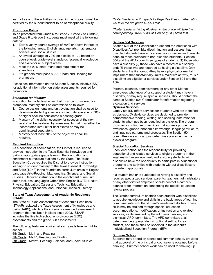instructors and the activities involved in the program must be certified by the superintendent to be of exceptional quality.

### **Promotion Policy**

To be promoted from Grade 6 to Grade 7, Grade 7 to Grade 8, and Grade 8 to Grade 9, students must meet all the following criteria:

- 1. Earn a yearly course average of 70% or above in three of the following areas: English language arts, mathematics, science, and social studies.
- 2. An overall average of 70% on a scale of 100 based on course-level, grade-level standards (essential knowledge and skills) for all subject areas.
- 3. Meet the 90% state-mandated requirement for attendance.
- 4. 8th graders must pass STAAR Math and Reading for promotion.

Please see information on the Student Success Initiative (SSI) for additional information on state assessments required for promotion.

### *Standards for Mastery*

In addition to the factors in law that must be considered for promotion, mastery shall be determined as follows:

- 1. Course assignments and unit evaluation shall be used to determine student grades in a subject. An average of 70% or higher shall be considered a passing grade.
- 2. Mastery of the skills necessary for success at the next level shall be validated by assessments that may either be incorporated into unit or final exams or may be administered separately.
- 3. Mastery of at least 70% of the objectives shall be required.

### **Required Instruction**

As a condition of accreditation, the District is required to provide instruction in the Texas Essential Knowledge and Skills at appropriate grade levels in the foundation and enrichment curriculum outlined by the State. The Texas Education Code requires the District to provide instruction leading to student mastery of the Texas Essential Knowledge and Skills (TEKS) in the foundation curriculum areas of English Language Arts/Reading, Mathematics, Science, and Social Studies. Required instruction in the enrichment curriculum areas includes Languages Other Than English (LOTE), Health, Physical Education, Career and Technical Education, Technology Applications, and Personal Financial Literacy.

### **State of Texas Assessments of Academic Readiness (STAAR)**

The State of Texas Assessments of Academic Readiness (STAAR) replaced the Texas Assessment of Knowledge and Skills (TAKS), which is the criterion-referenced assessment program that has been in place since 2003. STAAR includes the five high school end-of-course (EOC) assessments and the grade 3–8 assessments.

The following tests are required at each grade level in middle school:

6th Grade: Math and Reading 7th Grade: Math\*, Reading, and Writing 8th Grade: Math\*\*, Reading, Science, and Social Studies *\*Note: Students in 7th grade College Readiness mathematics will take the 8th grade STAAR test.*

*\*\*Note: Students taking Algebra I in 8th grade will take the corresponding STAAR End-of-Course (EOC) Math test.*

### **Section 504 Services**

Section 504 of the Rehabilitation Act and the Americans with Disabilities Act prohibits discrimination and assures that disabled students have educational opportunities and benefits equal to those provided to non-disabled students. Section 504 and the ADA cover three types of students: (1) those who have a disability (2) those who have a record of a disability and; (3) those who are regarded as having a disability. Only students in the first group (they have a physical or mental impairment that substantially limits a major life activity, thus a disability) are eligible for services under Section 504 and the ADA.

Parents, teachers, administrators, or any other District employees who know of or suspect a student may have a disability, or may require special services, should contact the campus Section 504 Coordinator for information regarding evaluation and services.

### *Dyslexia Services*

Lago Vista ISD offers services for students who are identified as dyslexic. Dyslexia services are designed to provide comprehensive reading, writing, and spelling instruction for students who have been identified as dyslexic. The program provides a continuum of services that address phonemic awareness, grapho-phonemic knowledge, language structure, and linguistic patterns and processes. The Section 504 committee on each campus determines placement in the dyslexia program.

### **Special Education Services**

Each local school has the responsibility for providing educational and related services to eligible students in the least restrictive environment, and ensuring students with disabilities have the opportunity to participate in educational programs and activities with students without disabilities to the extent appropriate.

If a student has or is suspected of having a disability and requires specialized services, parents, teachers, administrators or any other district employee should contact a campus counselor for information concerning the special education referral process.

The District curriculum enables each student with disabilities to acquire knowledge and skills in the basic areas of learning commensurate with the student's needs and abilities. These skills may be attained through special education accommodations, modification, or instruction and related services, as determined by the admission, review, and dismissal (ARD) committee. The ARD committee shall determine the appropriate instructional setting for each student, and these shall be specified in the student's Individualized Education Program (IEP).

### **Summer School**

Students may attend an accredited summer school, provided that approval of the principal or counselor is obtained before enrolling. Summer school work can be used for making up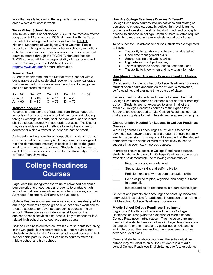work that was failed during the regular term or strengthening areas where a student is weak.

### **Texas Virtual School Network**

The Texas Virtual School Network (TxVSN) courses are offered for grades 8-12 and ensure 100% alignment with the Texas Essential Knowledge and Skills as well as the iNACOL National Standards of Quality for Online Courses. Public school districts, open-enrollment charter schools, institutions of higher education, or education service centers provide all courses offered through the TxVSN. Tuition and fees for TxVSN courses will be the responsibility of the student and parent. You may visit the TxVSN website at <http://www.txvsn.org/> for more information.

### **Transfer Credit**

Students transferring into the District from a school with a comparable grading scale shall receive the numerical grade that was earned in courses at another school. Letter grades shall be recorded as follows:

|  | $A_+ = 97$ $B_+ = 87$ $C_+ = 79$ $D_+ = 74$ $F = 69$ |  |
|--|------------------------------------------------------|--|
|  | $A = 94$ $B = 84$ $C = 77$ $D = 72$                  |  |
|  | $A - 90$ $B - 80$ $C - 75$ $D - 70$                  |  |

### **Transfer Placement**

Records and transcripts of students from Texas nonpublic schools or from out of state or out of the country (including foreign exchange students) shall be evaluated, and students shall be placed promptly in appropriate classes. The District may use a wide variety of methods to verify the content of courses for which a transfer student has earned credit.

A student enrolling from Texas nonpublic schools or from out of state or out of the country (including home schooling) will need to demonstrate mastery of basic skills up to the grade level to which he/she is assigned. Students may be given a credit by exam assessment offered by the University of Texas or Texas Tech University.

## **College Readiness Courses**

Lago Vista ISD recognizes the value of advanced academic coursework and encourages all students to graduate high school with at least one advanced academic course, such as Advanced Placement, OnRamps, or dual credit.

College Readiness courses are advanced courses designed to challenge students beyond grade-level academic work and to prepare students for advanced academic courses in high school. These courses include a special focus on the subject-specific activities a student is likely to encounter in a related high school advanced academic course.

College Readiness courses are available to students beginning in the 6th grade. It is recommended, but not required, that students wishing to take AP or other advanced courses in high school participate in College Readiness courses offered in middle school and high school.

### **How Are College Readiness Courses Different?**

College Readiness courses include activities and strategies designed to engage students in active, high-level learning. Students will develop the skills, habit of mind, and concepts needed to succeed in college. Depth of material often requires students to read and write extensively in and out of class.

To be successful in advanced courses, students are expected to have:

- The ability to go above and beyond what is asked;
- Good time management skills;
- Strong reading and writing skills;
- High interest in subject matter;
- The willingness to accept critical feedback; and
- The ability to know when and how to ask for help.

### **How Many College Readiness Courses Should a Student Take?**

Consideration for the number of College Readiness courses a student should take depends on the student's motivation, self-discipline, and available time outside of class.

It is important for students and parents to remember that College Readiness course enrollment is not an "all or nothing" option. Students are not expected to enroll in all of the available College Readiness courses at their grade level. Students are encouraged to take College Readiness courses that are appropriate to their interests and academic strengths.

### **Characteristics Needed for Success in College Readiness Courses**

While Lago Vista ISD encourages all students to access advanced coursework, parents and students should carefully weigh this decision. It is important to ensure that the student demonstrates the habits of mind that are likely to lead to success in academically rigorous classes.

In order to ensure success in College Readiness courses, students who wish to enroll in College Readiness courses are expected to demonstrate the following characteristics:

- Reads on or above grade level
- Strong study skills and self-motivation
- Proficient oral and written communication skills
- Self-discipline to plan, organize, and carry out tasks to completion
	- Interest and self-directedness in a particular subject

Students and parents are encouraged to carefully review the entry guidelines below for additional information on enrolling in middle school College Readiness coursework.

### **Middle School College Readiness Enrollment**

Lago Vista ISD offers inclusive enrollment for College Readiness courses (with the exception of middle school College Readiness mathematics). This inclusive enrollment means that a student may enroll in a College Readiness class as long as he or she meets entry guidelines criteria and is willing to accept the time and learning requirements of an advanced-level class.

Parents of students who do not meet the entry guidelines criteria may still elect to enroll their students in a middle school College Readiness English/Language Arts or science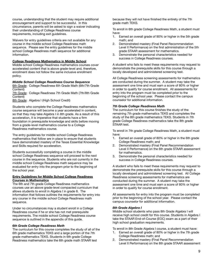course, understanding that the student may require additional encouragement and support to be successful. In this circumstance, parents will be asked to sign a waiver indicating their understanding of College Readiness course requirements, including exit guidelines.

Waivers for entry guidelines criteria are not available for any course in the middle school College Readiness math sequence. Please see the entry guidelines for the middle school College Readiness math sequence for additional information.

### **College Readiness Mathematics in Middle School**

Middle school College Readiness mathematics courses cover accelerated content that is above grade-level and, therefore, enrollment does not follow the same inclusive enrollment policy.

### *Middle School College Readiness Course Sequence*

6th Grade: College Readiness 6th Grade Math (6th/7th Grade Content)

7th Grade: College Readiness 7th Grade Math (7th/8th Grade Content)

8th Grade: Algebra I (High School Credit)

Students who complete the College Readiness mathematics course sequence will become a year accelerated in content, so that they may take Algebra I in 8th grade. As a result of this acceleration, it is imperative that students have a firm foundation in prerequisite knowledge and skills before moving from a grade-level mathematics course to a College Readiness mathematics course.

The entry guidelines for middle school College Readiness mathematics that follow are in place to ensure that students have demonstrated mastery of the Texas Essential Knowledge and Skills required for acceleration.

Students successfully completing a course in the middle school College Readiness sequence will proceed to the next course in the sequence. Students who are not currently in the middle school College Readiness math sequence may be evaluated for entry into the program prior to the beginning of the school year.

### **Entry Guidelines for Middle School College Readiness Courses in Mathematics**

The 6th and 7th grade College Readiness mathematics courses use an above grade-level compacted curriculum that allows students to enroll in Algebra I in grade 8. The information that follows outlines the requirements for entry into any course in the middle school College Readiness math sequence.

Under no circumstances may a student enroll in a College Readiness course if he or she has not met prerequisite requirements. The middle school College Readiness course sequence is outlined in the appendix of this guide.

### *6th Grade College Readiness Math*

The curriculum for this course completes the study of all of the 6th grade mathematics TEKS and a large portion of the 7th grade mathematics TEKS. Students in 6th grade College Readiness mathematics take the 6th grade math STAAR test

because they will not have finished the entirety of the 7th grade math TEKS.

To enroll in 6th grade College Readiness Math, a student must have:

- 1. Earned an overall grade of 90% or higher in the 5th grade math; and
- 2. Demonstrated mastery (Final Panel Recommendation Level II Performance) on the first administration of the 5th grade STAAR assessment for mathematics.
- 3. Demonstrate the personal characteristics needed for success in College Readiness courses.

A student who fails to meet these requirements may request to demonstrate the prerequisite skills for this course through a locally developed and administered screening test.

All College Readiness screening assessments for mathematics are conducted during the summer. A student may take the assessment one time and must earn a score of 80% or higher in order to qualify for course enrollment. All assessments for entry into the program must be completed prior to the beginning of the school year. Please contact the campus counselor for additional information.

### *7th Grade College Readiness Math*

The curriculum for this course finishes the study of the remaining 7th grade mathematics TEKS and completes the study of the 8th grade mathematics TEKS. Students in 7th grade College Readiness mathematics take the 8th grade STAAR test.

To enroll in 7th grade College Readiness Math, a student must have:

- 1. Earned an overall grade of 80% or higher in the 6th grade College Readiness math; and
- 2. Demonstrated mastery (Final Panel Recommendation Level II Performance) on the 6th grade STAAR assessment for mathematics.
- 3. Demonstrate the personal characteristics needed for success in College Readiness courses.

A student who fails to meet these requirements may request to demonstrate the prerequisite skills for this course through a locally developed and administered screening test. All College Readiness screening assessments for mathematics are conducted during the summer. A student may take the assessment one time and must earn a score of 80% or higher in order to qualify for course enrollment.

All assessments for entry into the program must be completed prior to the beginning of the school year. Please contact the campus counselor for additional information.

### *8th Grade Algebra I*

Middle school students who pass 8th Grade Algebra I will receive high school credit for this course. Students in Algebra I take the STAAR End-of-Course (EOC) exam as a part of their high school graduation requirements.

To enroll in 8th Grade Algebra I course, a student must have:

- 1. Earned an overall grade of 80% or higher in the 7th grade College Readiness math; and
- 2. Demonstrated mastery (Final Panel Recommendation Level II Performance) on the 8th grade STAAR assessment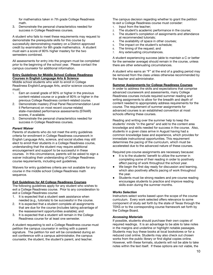for mathematics taken in 7th grade College Readiness math.

3. Demonstrate the personal characteristics needed for success in College Readiness courses.

A student who fails to meet these requirements may request to demonstrate the prerequisite skills for this course by successfully demonstrating mastery on a District-approved credit by examination for 8th grade mathematics. A student must earn a score of 80% higher mastery for the two semesters combined.

All assessments for entry into the program must be completed prior to the beginning of the school year. Please contact the campus counselor for additional information.

### **Entry Guidelines for Middle School College Readiness Courses in English Language Arts & Science**

Middle school students who wish to enroll in College Readiness English/Language Arts, and/or science courses must:

- 1. Earn an overall grade of 90% or higher in the previous content-related course or a grade of 80% or higher in the previous College Readiness content-related course.
- 2. Demonstrate mastery (Final Panel Recommendation Level II Performance) on most recent course-related state-mandated performance assessments (STAAR) scores, if available.
- 3. Demonstrate the personal characteristics needed for success in College Readiness courses.

### *Parent Waiver*

Parents of students who do not meet the entry guidelines criteria for enrollment in College Readiness coursework in English Language Arts, science, and social studies may still elect to enroll their students in a College Readiness course, understanding that the student may require additional encouragement and support to be successful in these courses. In this circumstance, parents will be asked to sign a waiver indicating their understanding of College Readiness course requirements, including exit guidelines.

Waivers for entry guidelines criteria are not available for any course in the middle school College Readiness math sequence.

### **Exit Guidelines for All College Readiness Courses**

The following guidelines apply for any student who wishes to exit a College Readiness course. Prior to any consideration to exit a College Readiness course:

- 1. It is expected that a student seek assistance when needed (e.g., tutorials) to be successful in the course.
- 2. It is expected that a student complete all assignments that are due for the course (includes taking advantage of the reassessment opportunities available); and
- 3. It is expected that a student will remain in the College Readiness course for at least one semester.

A student requesting to exit a College Readiness course must petition the campus counselor in writing with a parent signature. The petition for exit will be considered during an exit conference with a campus administrator, the campus counselor, the student, the student's parent, and teacher.

The campus decision regarding whether to grant the petition to exit a College Readiness course must consider:

- 1. Input from the teacher;
- 2. The student's academic performance in the course;
- 3. The student's completion of assignments and attendance at recommended tutorials;
- 4. The availability of space in other courses;
- 5. The impact on the student's schedule;
- 6. The timing of the request; and
- 7. Any extenuating circumstances.

A student experiencing success (able to maintain a C or better for the semester average) should remain in the course, unless there are other extenuating circumstances.

A student who earns an "F" at the end of a grading period may be removed from the class unless otherwise recommended by the teacher and administrator.

### **Summer Assignments for College Readiness Courses**

In order to address the skills and expectations that comprise advanced coursework and assessments, many College Readiness courses include required summer reading and writing assignments to allow for the breadth and depth of content needed to appropriately address requirements for the course. The requirement of summer assignments for advanced courses is an established convention at most schools offering these courses.

Reading and writing over the summer help to keep the students' minds "in the game" and add to the content area knowledge and skills needed for success in the course. Also, students in a given class arrive in August having had a common knowledge base and experience, which provides for immediate instructional opportunities. This requirement determines the pacing of the curriculum, which must be accelerated due to the advanced nature of these courses.

Required pre-course assignments are necessary because:

- It is to the students' benefit to utilize the summer in completing some of their reading in order to positively affect pacing of work throughout the school year.
- We begin the first day ready for discussion and learning, which also positively affects pacing of work throughout the year.
- Students must be strong readers and pre-course reading encourages students to practice and improve reading skills even during the summer months.

### *Works Selection*

Instructors select works based upon the scope of the course curriculum. Every work selected offers relevance to some component of study set forth by the state of Texas through the TEKS or to the corresponding course framework set forth by the College Board.

### *Accessing Materials*

If possible, students should purchase their own copies of required readings. It is an advantage to be able to take notes in the margins and underline or highlight notable passages. Students may buy these books at local bookstores or for a reduced cost online. Students may also check out chosen works from the public library or find digital copies online. However, with these formats, students will not be able to take notes within the text itself. If these options are not viable, the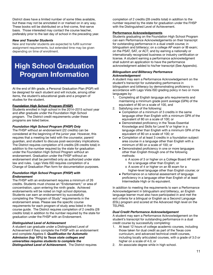District does have a limited number of some titles available, but these may not be annotated in or marked on in any way. These books will be distributed on a first-come, first-serve basis. Those interested may contact the course teacher, preferably prior to the last day of school in the preceding year.

### *New and Transfer Students*

New and transfer students are expected to fulfill summer assignment requirements, but extended time may be given depending on time of enrollment.

## **High School Graduation Program Information**

At the end of 8th grade, a Personal Graduation Plan (PGP) will be designed for each student and will include, among other items, the student's educational goals and a program of studies for the student.

### **Foundation High School Program (FHSP)**

Students enrolled in high school in the 2014–2015 school year and after graduate under the Foundation High School program. The District credit requirements under these programs are listed below.

### *Foundation High School Program (FHSP) Only*

The FHSP without an endorsement (22 credits) can be considered at the beginning of the junior year. However, this requires that a meeting be held with the counselor, parent/ guardian, and student to discuss post-secondary implications. The District requires completion of 6 credits (28 credits total) in addition to the number required by the state for graduation under the Foundation High School Program without an endorsement. Graduation under the FHSP without an endorsement shall be permitted only as authorized under state law and rules. Lago Vista ISD requires completion of a Change of Graduation Plan form for documentation purposes.

### *Foundation High School Program (FHSP) with Endorsement*

The FHSP with an endorsement requires a minimum of 26 credits. Students must choose an "Endorsement," or area of concentration, upon entering the ninth grade. Achieved endorsements will be noted on high school diplomas. Students can earn an endorsement by successfully completing the "Program of Study" requirements in the endorsement areas. Please see the specific course requirements for each program of study area listed in the course guide. The District requires completion of 2 credits (28 credits total) in addition to the number required by the state for graduation under the FHSP with an Endorsement.

### *Distinguished Level of Achievement*

A student can graduate under a Distinguished Level of Achievement if they complete the FHSP with an endorsement and complete Algebra II. *Qualification for Automatic Admission (top 10%) to Texas state colleges and universities requires students to complete the Distinguished Level of Achievement.* The District requires

completion of 2 credits (28 credits total) in addition to the number required by the state for graduation under the FHSP with the Distinguished Level of Achievement.

### **Performance Acknowledgements**

Students graduating on the Foundation High School Program can earn Performance Acknowledgements on their transcript for outstanding performance in a dual credit course; in bilingualism and biliteracy; on a college AP exam or IB exam; on the PSAT, SAT, or ACT; and by earning a nationally or internationally recognized business or industry certification or license. A student earning a performance acknowledgment shall submit an application to have the performance acknowledgment added to his/her transcript (See Appendix).

### *Bilingualism and Biliteracy Performance Acknowledgement*

A student may earn a Performance Acknowledgement on the student's transcript for outstanding performance in bilingualism and biliteracy by demonstrating proficiency in accordance with Lago Vista ISD grading policy in two or more languages by:

- 1. Completing all English language arts requirements and maintaining a minimum grade point average (GPA) of the equivalent of 80 on a scale of 100, and
- 2. Satisfying one of the following:
	- Completion of a minimum of 3 credits in the same language other than English with a minimum GPA of the equivalent of 80 on a scale of 100; or
	- Demonstrated proficiency in the Texas Essential Knowledge and Skills for Level IV or higher in a language other than English with a minimum GPA of the equivalent of 80 on a scale of 100; or
	- Completion of at least 3 credits in a foundation subject area course in a language other than English with a minimum of 80 on a scale of 100; or
	- Demonstrated proficiency in one or more languages other than English through one of the following methods:
		- o A score of 3 or higher on a College Board AP exam for a language other than English; or
		- o A score of 4 or higher on an IB exam for a higher-level language other than English course; or
	- Performance on a national assessment of language proficiency in a language other than English of at least Intermediate High or its equivalent.

In addition to meeting the requirements to earn a Performance Acknowledgement in bilingualism and biliteracy, an English language learner must also have participated in and met the exit criteria for a bilingual or English as a Second Language (ESL) program and scored at the Advanced High level on the TELPAS.

### *Dual Credit Performance Acknowledgement*

A student may earn a Performance Acknowledgement on the student's transcript for outstanding performance in a dual credit course by successfully completing:

- 1. At least 12 hours of college academic courses, including those taken for dual credit as part of the Texas core curriculum, and advanced technical credit courses, including locally articulated courses, with a grade of 3.0 or higher on a scale of 4.0, or
- 2. An associate degree while in high school.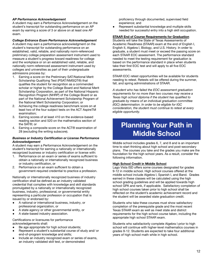### *AP Performance Acknowledgement*

A student may earn a Performance Acknowledgement on the student's transcript for outstanding performance on an AP exam by earning a score of 3 or above on at least one AP exam.

### *College Entrance Exam Performance Acknowledgement*

A student may earn a performance acknowledgment on the student's transcript for outstanding performance on an established, valid, reliable, and nationally norm-referenced preliminary college preparation assessment instrument used to measure a student's progress toward readiness for college and the workplace or on an established valid, reliable, and nationally norm-referenced assessment instrument used by colleges and universities as part of their undergraduate admissions process by:

- 1. Earning a score on the Preliminary SAT/National Merit Scholarship Qualifying Test (PSAT/NMSQT®) that qualifies the student for recognition as a commended scholar or higher by the College Board and National Merit Scholarship Corporation, as part of the National Hispanic Recognition Program (NHRP) of the College Board or as part of the National Achievement Scholarship Program of the National Merit Scholarship Corporation; or
- 2. Achieving the college readiness benchmark score on at least two of the four subject tests on the ACT AspireTM examination;
- 3. Earning scores of at least 410 on the evidence-based reading section and 520 on the mathematics section of the SAT®; or
- 4. Earning a composite score on the ACT® examination of 28 (excluding the writing subscore).

### *Business or Industry Certification or License Performance Acknowledgement*

A student may earn a Performance Acknowledgement on the student's transcript for earning a nationally or internationally recognized business or industry certification or license with:

- 1. Performance on an exam or series of exams sufficient to obtain a nationally or internationally recognized business or industry certification, or
- 2. Performance on an exam sufficient to obtain a government-required credential to practice a profession.

Nationally or internationally recognized business of industry certification shall be defined as an industry validated credential that complies with knowledge and skill standards promulgated by a nationally or internationally recognized business, industry, professional, or governmental entity representing a particular profession or occupation that is issued by or endorsed by:

- A national or international business, industry, or professional organization, or
- A state agency or other governmental entity, or
- A state-based industry association.

Certifications or licensures for performance acknowledgements shall:

- Be age appropriate for high school students;
- Represent a student's substantial course of study and/ or end-of-program knowledge and skills;
- Include an industry recognized exam or series of exams, an industry validated skill test, or demonstrated

proficiency through documented, supervised field experience; and

Represent substantial knowledge and multiple skills needed for successful entry into a high skill occupation.

### **STAAR End of Course Requirements for Graduation**

Students will take the State of Texas Assessments of Academic Readiness (STAAR) exam at the end of English I, English II, Algebra I, Biology, and U.S. History. In order to graduate, a student must meet or exceed the passing score on each STAAR EOC assessment. The performance standard needed to meet the testing requirement for graduation is based on the performance standard in place when students take their first EOC test and will apply to all five EOC assessments.

STAAR EOC retest opportunities will be available for students needing to retest. Retests will be offered during the summer, fall, and spring administrations of STAAR.

*A student who has failed the EOC assessment graduation requirements for no more than two courses may receive a Texas high school diploma if the student has qualified to graduate by means of an individual graduation committee (IGC) determination. In order to be eligible for IGC consideration, the student must continue to retest at every eligible opportunity.*

## **Planning Your Path in Middle School**

Middle school includes grades 6, 7, and 8 and is an important time to start thinking about high school and post-secondary plans. The courses you take and the grades you make are the foundation for the high school years. As a result, consider the following information.

### **High School Credit in Middle School**

Lago Vista ISD offers some courses designated for grades 9-12 in middle school. High school courses offered at the middle school include Algebra I, Spanish I, and Band. Grades earned in these classes will be calculated using the high school grading guidelines and will be applied towards high school GPA and rank, if applicable. Satisfactory completion of high school courses taken prior to high school shall be reflected on the student's academic achievement record and the student will be awarded state graduation credit.

Students who take these courses must show satisfactory completion of the prerequisite grade and the most recent Texas STAAR exam as well as meet state and district requirements for the high school course taken, including the appropriate high school STAAR exam.

Students who satisfactorily complete Algebra I prior to high school will continue with higher-level mathematics courses in grades 9-12. Students are expected to take four additional years of high school math while in high school.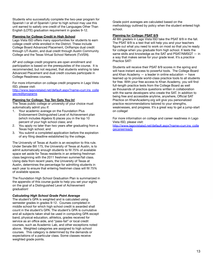Students who successfully complete the two-year program for Spanish I or all of Spanish I prior to high school may use this unit earned to satisfy one credit of the Languages Other Than English (LOTE) graduation requirement in grades 9-12.

### **Planning for College Credit in High School**

Lago Vista ISD offers many opportunities for students to earn college credit while enrolled in the District. These include College Board Advanced Placement, OnRamps dual credit through UT-Austin, and dual credit through Austin Community College and the Texas Virtual School Network (TxVSN).

AP and college credit programs are open enrollment and participation is based on the prerequisites of the course. It is recommended, but not required, that students wishing to take Advanced Placement and dual credit courses participate in College Readiness courses.

For more information on college credit programs in Lago Vista ISD, please visit:

[http://www.lagovistaisd.net/default.aspx?name=curr.ins\\_colle](http://www.lagovistaisd.net/default.aspx?name=curr.ins_collegecreditprograms) **[gecreditprograms](http://www.lagovistaisd.net/default.aspx?name=curr.ins_collegecreditprograms)** 

### **Planning for College: Top Ten Gets You In!**

The Texas public college or university of your choice must automatically admit you if:

- 1. Your academic average on the Foundation Plus Endorsement Distinguished Level of Achievement plan (which includes Algebra II) places you in the top 10 percent of your high school class; and
- 2. You apply no later than two years after graduating from a Texas high school; and
- 3. You submit a completed application before the expiration of any filing deadline established by the college.

The University of Texas at Austin is an exception to this rule. Under Senate Bill 175, the University of Texas at Austin, is to admit automatically enough students to fill 75% of available space set aside for Texas residents in an entering freshman class beginning with the 2011 freshmen summer/fall class. Using data from recent years, the University of Texas at Austin, determines the percentage for admitting students in each year to ensure that entering freshmen class will fill 75% of available spaces.

The Foundation High School Graduation Plan is summarized in the appendix of this course guide to help you set your sights on the goal of a Distinguished Level of Achievement graduation!

### *Calculating High School Grade Point Average*

The student's GPA is weighted and is calculated using semester grades in grades 9-12. Courses completed in middle school for which high school credit is awarded shall count in the student's GPA. The student's GPA is cumulative and all subjects taken shall be used in computing GPA except band, physical education, athletics, grades received for service as an office aide, and "pass-fail" or local credit courses, such as Academic Lab, and other exceptions noted above. Weighted categories are assigned to high school courses. This category is determined by the demands or expectations of a particular class. Some classes receive weighted grade points.

Grade point averages are calculated based on the methodology outlined by policy when the student entered high school.

### **Planning for College: PSAT 8/9**

All 8th graders in Lago Vista ISD take the PSAT 8/9 in the fall. The PSAT 8/9 is a test that will help you and your teachers figure out what you need to work on most so that you're ready for college when you graduate from high school. It tests the same skills and knowledge as the SAT and PSAT/NMSQT — in a way that makes sense for your grade level. It's a *practice* Practice SAT!

Students will receive their PSAT 8/9 scores in the spring and will have instant access to powerful tools. The College Board and Khan Academy — a leader in online education — have teamed up to provide world-class practice tools to all students for free. With your free access to Khan Academy, you will find full-length practice tests from the College Board as well as thousands of practice questions written in collaboration with the same developers who create the SAT. In addition to being free and accessible anytime, anywhere, Official SAT Practice on KhanAcademy.org will give you personalized practice recommendations tailored to your strengths, weaknesses, and progress. It's a great way to get a jump-start on college!

For more information on college and career readiness in Lago Vista ISD, please visit:

[http://www.lagovistaisd.net/default.aspx?name=curr.ins\\_colle](http://www.lagovistaisd.net/default.aspx?name=curr.ins_collegecareerready) **[gecareerready](http://www.lagovistaisd.net/default.aspx?name=curr.ins_collegecareerready)**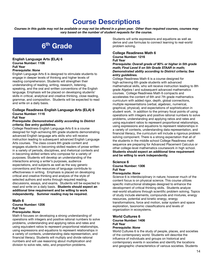## **Course Descriptions**

*Courses in this guide may not be available or may not be offered in a given year. Other than required courses, courses may vary based on the number of student requests for the course.*



### **English Language Arts (ELA) 6 Course Number: 1106 Full Year**

### **Prerequisite:** *None*

English Language Arts 6 is designed to stimulate students to engage in deeper levels of thinking and higher levels of reading comprehension. Students will strengthen their understanding of reading, writing, research, listening, speaking, and the oral and written conventions of the English language. Emphasis will be placed on developing students' skills in critical, analytical and creative thinking, close reading, grammar, and composition. Students will be expected to read and write on a daily basis.

### **College Readiness English Language Arts (ELA) 6 Course Number: 1116 Full Year**

### **Prerequisite:** *Demonstrated ability according to District criteria; See entry guidelines.*

College Readiness English Language Arts 6 is a course designed for high-achieving 6th grade students demonstrating advanced English language arts skills who will receive instruction leading to subsequent advanced English Language Arts courses. The class covers 6th grade content and engages students in becoming skilled readers of prose written in a variety of periods, disciplines, and rhetorical contexts and in becoming skilled writers who compose for a variety of purposes. Students will develop an understanding of the interactions among a writer's purposes, audience expectations, and subjects as well as the way generic conventions and the resources of language contribute to effectiveness in writing. Emphasis is placed on developing critical and creative thinking and analysis of the style of selected authors and works through required reading, discussions, essays, and exams. Students will be expected to read and write on a daily basis. **Students should expect an additional time requirement and be willing to work independently. Summer reading may be required.**

### **Math 6**

**Course Number: 1206 Full Year**

### **Prerequisite:** *None*

Math 6 focuses on developing a strong understanding of operations with integers and positive rational numbers to solve problems, understanding and applying ratios and rates and using equivalent ratios to represent proportional relationships, using expressions and equations to represent relationships in a variety of contexts, understanding data representation, and financial literacy. Students will multiply and divide rational numbers and will use reasoning about multiplication and division to solve rate, ratio, and proportion problems.

Students will write expressions and equations as well as derive and use formulas to connect learning to real-world problem solving.

### **College Readiness Math 6 Course Number: 1216**

### **Full Year**

**Prerequisite:** *Overall grade of 90% or higher in 5th grade math; Final Level II on 5th Grade STAAR in math; Demonstrated ability according to District criteria; See entry guidelines.*

College Readiness Math 6 is a course designed for high-achieving 6th grade students with advanced mathematical skills, who will receive instruction leading to 8th grade Algebra I and subsequent advanced mathematics courses. College Readiness Math 6 compacts and accelerates the content of 6th and 7th grade mathematics curriculum with added rigor, depth, global connections, multiple representations (verbal, algebraic, numerical, graphical, physical), and expectations of sophistication in student work. In addition to the primary focal points of using operations with integers and positive rational numbers to solve problems, understanding and applying ratios and rates and using equivalent ratios to represent proportional relationships, using expressions and equations to represent relationships in a variety of contexts, understanding data representation, and financial literacy, the curriculum will include a rigorous problem solving component. There is a strong expectation that all of the students in the middle school College Readiness math sequence are preparing for Advanced Placement Calculus or other college-level mathematics coursework in high school. **Students should expect an additional time requirement and be willing to work independently.**

### **Science 6**

### **Course Number: 1306 Full Year**

### **Prerequisite:** *None*

Science 6 is interdisciplinary in nature; however much of the content focus is on physical science. This course utilizes specific instructional strategies designed to enhance the development of critical thinking skills. Students analyze real-world situations through scientific problem solving. Topics of study include elements, compounds and mixtures, energy resources, potential and kinetic energy, energy transformations, force and motion, solar system and space exploration, taxonomic classifications and levels of organization in ecosystems.

### **World Cultures 6 Course Number: 1406 Full Year**

### **Prerequisite:** *None*

World Cultures 6 is the study of people, places, and societies of the contemporary world. Students will describe the influence of individuals and groups on historical and contemporary events in societies and identify the locations and geographic characteristics of various societies. Students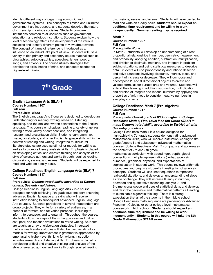identify different ways of organizing economic and governmental systems. The concepts of limited and unlimited government are introduced, and students describe the nature of citizenship in various societies. Students compare institutions common to all societies such as government, education, and religious institutions. Students explain how the level of technology affects the development of the various societies and identify different points of view about events. The concept of frame of reference is introduced as an influence on an individual's point of view. Students will use a variety of rich primary and secondary source material such as biographies, autobiographies, speeches, letters, poetry, songs, and artworks. The course utilizes strategies that develop the skills, habits of mind, and concepts needed for higher-level thinking.

## 7<sup>th</sup> Grade

### **English Language Arts (ELA) 7 Course Number: 1107 Full Year**

### **Prerequisite:** *None*

The English Language Arts 7 course is designed to develop an understanding for reading, writing, research, listening, speaking, and the oral and written conventions of the English language. This course emphasizes reading a variety of genres, writing a wide variety of compositions, and integrating research and presentation skills. Students learn grammar, usage, vocabulary, and other English language skills within the context of reading and writing. Integrated multicultural literature studies are used as stimuli or models for writing as well as to promote literary analysis skills. Emphasis is placed on developing critical and creative thinking and analysis of the style of selected authors and works through required reading, discussions, essays, and exams. Students will be expected to read and write on a daily basis.

### **College Readiness English Language Arts (ELA) 7**

### **Course Number: 1117**

### **Full Year**

### **Prerequisite:** *Demonstrated ability according to District criteria; See entry guidelines.*

College Readiness English Language Arts 7 is a course designed for high-achieving 7th grade students demonstrating advanced English language arts skills who will receive instruction leading to subsequent advanced English Language Arts courses. Students participate in several independent and group projects. They write for a variety of audiences, in a number of formats, and for varied purposes, including to inform, to persuade, and to entertain. Throughout the course, students follow the steps of the writing process and utilize self, peer, and teacher evaluations to revise writing. Students are taught an array of elaboration strategies. Integrated multicultural literature studies will also be used as stimuli or models for writing. Improvement in grammar is approached by emphasizing higher-level thinking for writing. Instruction includes research and listening skills. Emphasis is placed on developing critical and creative thinking and analysis of the style of selected authors and works through required reading,

discussions, essays, and exams. Students will be expected to read and write on a daily basis. **Students should expect an additional time requirement and be willing to work independently. Summer reading may be required.**

### **Math 7 Course Number: 1207 Full Year Prerequisite:** *None*

In Math 7, students will develop an understanding of direct proportional relationships in number, geometry, measurement, and probability; applying addition, subtraction, multiplication, and division of decimals, fractions, and integers in problem solving situations; and using statistical measures to describe data. Students will use proportionality and ratio to describe and solve situations involving discounts, interest, taxes, and percent of increase or decrease. They will compose and decompose 2- and 3-dimensional objects to create and validate formulas for surface area and volume. Students will extend their learning in addition, subtraction, multiplication and division of integers and rational numbers by applying the properties of arithmetic to consider negative numbers in everyday contexts.

### **College Readiness Math 7 (Pre-Algebra) Course Number: 1217 Full Year**

### **Prerequisite:** *Overall grade of 80% or higher in College Readiness Math 6; Final Level II on 6th Grade STAAR in math; Demonstrated ability according to District criteria; See entry guidelines.*

College Readiness Math 7 is a course designed for high-achieving 7th grade students demonstrating advanced mathematical skills, who will receive instruction leading to 8th grade Algebra I and subsequent advanced mathematics courses. College Readiness Math 7 compacts and accelerates the content of 7th and 8th grade

mathematics curriculum with added rigor, depth, global connections, multiple representations (verbal, algebraic, numerical, graphical, physical), and expectations of sophistication in student work. This course reviews arithmetic procedures and begins a student's investigation of algebraic concepts. Students will use linear equations to represent real-world situations, and develop an understanding of slope as rate of change. They will increase fluency in number, operation and quantitative reasoning; analyze 2- and 3-dimensional space and uses of statistical data; and develop and describe geometric and mathematical patterns all leading to sustainable algebraic thinking. There is a strong expectation that all of the students in the middle school College Readiness math sequence are preparing for Advanced Placement Calculus or other college-level mathematics coursework in high school. **Students should expect an additional time requirement and be willing to work independently. Students in this course will take the 8th Grade Mathematics STAAR exam.**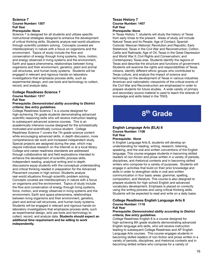### **Science 7 Course Number: 1307 Full Year Prerequisite:** *None*

Science 7 is designed for all students and utilizes specific instructional strategies designed to enhance the development of critical thinking skills. Students analyze real-world situations through scientific problem solving. Concepts covered are interdisciplinary in nature with a focus on organisms and the environment. Topics of study include the flow and conservation of energy through living systems, force, motion, and energy observed in living systems and the environment, Earth and space phenomena, relationships between living organisms and their environment, genetics, plant and animal cell structures, and human body systems. Students will be engaged in relevant and rigorous hands-on laboratory investigations that emphasize process skills, such as experimental design, and use tools and technology to collect, record, and analyze data.

### **College Readiness Science 7**

### **Course Number: 1317 Full Year**

### **Prerequisite:** *Demonstrated ability according to District criteria; See entry guidelines.*

College Readiness Science 7 is a course designed for high-achieving 7th grade students demonstrating advanced scientific reasoning skills who will receive instruction leading to subsequent advanced science courses. This is an academically intensive course designed for the scholastically motivated and scientifically curious student. College Readiness Science 7 covers the 7th grade science content while encouraging advanced skills, in depth discussion, more comprehensive lab work and increased independent study. Special projects are assigned during the year, which may require individual research on the Internet or at a local library. College and career readiness standards are addressed through collaborative lab and field explorations intended to enhance the development of scientific process skills. Independent reading, analytical writing and in-depth discussions equip students with the conceptual understanding and critical thinking needed in preparation for the Advanced Placement courses in high school. Students analyze real-world situations through scientific problem solving. Concepts covered are interdisciplinary in nature with a focus on organisms and the environment. Topics of study include the flow and conservation of energy through living systems, force, motion, and energy observed in living systems and the environment, Earth and space phenomena, relationships between living organisms and their environment, genetics, plant and animal cell structures, and human body systems. Students will be engaged in relevant and rigorous hands-on laboratory investigations that emphasize process skills, such as experimental design, and use tools and technology to collect, record, and analyze data. **Students should expect an additional time requirement and be willing to work independently.**

### **Texas History 7 Course Number: 1407 Full Year Prerequisite:** *None*

In Texas History 7, students will study the history of Texas from early times to the present. Areas of study will include Natural Texas and its People; Age of Contact; Spanish Colonial; Mexican National; Revolution and Republic; Early Statehood; Texas in the Civil War and Reconstruction; Cotton, Cattle and Railroads; Age of Oil; Texas in the Great Depression and World War II; Civil Rights and Conservatism; and Contemporary Texas eras. Students identify the regions of Texas and describe the structure and functions of government. Students will examine the rights and responsibilities of Texas citizens, identify different ethnic groups who contributed to Texas culture, and analyze the impact of science and technology on the development of Texas in various industries. American and nationalistic viewpoints of the critical events of the Civil War and Reconstruction are emphasized in order to prepare students for future studies. A wide variety of primary and secondary source material is used to teach the strands of knowledge and skills listed in the TEKS.

## 8<sup>th</sup> Grade

### **English Language Arts (ELA) 8 Course Number: 1108 Full Year**

### **Prerequisite:** *None*

In English Language Arts 8, students will develop an understanding for reading, writing, research, listening, speaking, and the oral and written conventions of the English language. This course engages students in becoming skilled readers of non-fiction and prose written in a variety of periods, disciplines, and rhetorical contexts and in becoming skilled writers who compose for a variety of purposes. Students will engage in activities that build on their prior knowledge and skills in order to strengthen skills in oral and written communication in four basic areas: grammar, spelling, composition, and literature. This course is also designed to prepare students for high school English and advanced vocabulary development. Emphasis is placed on correctly using the writing process and using critical thinking skills. Students will be expected to read and write on a daily basis.

### **College Readiness English Language Arts 8 Course Number: 1118**

### **Full Year**

### **Prerequisite:** *Demonstrated ability according to District criteria; See entry guidelines.*

College Readiness English 8 is a course designed for high-achieving 8th grade students demonstrating advanced English language arts skills, who will receive instruction leading to subsequent College Readiness and AP English Language Arts courses. This course engages students in becoming skilled readers of non-fiction and prose written in a variety of periods, disciplines, and rhetorical contexts and in becoming skilled writers who compose for a variety of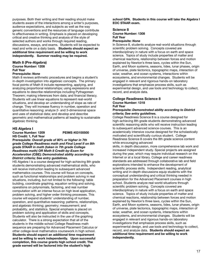purposes. Both their writing and their reading should make students aware of the interactions among a writer's purposes, audience expectations, and subjects as well as the way generic conventions and the resources of language contribute to effectiveness in writing. Emphasis is placed on developing critical and creative thinking and analysis of the style of selected authors and works through required reading, discussions, essays, and exams. Students will be expected to read and write on a daily basis. **Students should expect an additional time requirement and be willing to work independently. Summer reading may be required.**

### **Math 8 (Pre-Algebra) Course Number: 1208 Full Year**

### **Prerequisite:** *None*

Math 8 reviews arithmetic procedures and begins a student's in-depth investigation into algebraic concepts. The primary focal points of Math 8 include representing, applying, and analyzing proportional relationships; using expressions and equations to describe relationships including Pythagorean Theorem; making inferences from data; and financial literacy. Students will use linear equations to represent real-world situations, and develop an understanding of slope as rate of change. They will increase fluency in number, operation and quantitative reasoning; analyze 2- and 3-dimensional space and uses of statistical data; and develop and describe geometric and mathematical patterns all leading to sustainable algebraic thinking.

### **HS Algebra I**

### **Course Number: 1209 PEIMS #03100500 HS Credit: 1, Full Year**

**Prerequisite**: *Overall grade of 80% or higher in 7th grade College Readiness math and Final Level II on 8th grade STAAR in math (taken in 7th grade College Readiness math) OR Math 8 Credit-by-Exam for Acceleration (CBE); Demonstrated ability according to District criteria; See entry guidelines.*

HS Algebra I is a course designed for high-achieving 8th grade students demonstrating advanced mathematical skills, who will receive instruction leading to subsequent advanced mathematics courses. This course will focus on concepts, such as functional relationships and problem solving in real situations, including, but not limited to the following: table building, coordinate graphing, equation writing and solving, operations on polynomials, factoring, and real number computation with an intense focus on high level application, problem solving, and higher order thinking processes. This course will expand students' understanding of number, operation, and quantitative reasoning; patterns, relationships, and algebraic thinking; geometry; measurement; and probability, and statistics. Special emphasis is placed on problem solving and application of skills and concepts. Students will also be instructed in the use of the graphing calculator. There is a strong expectation that all of the students in the middle school College Readiness math sequence are preparing for Advanced Placement Calculus or other college-level mathematics coursework in high school. **Students should expect an additional time requirement and be willing to work independently. Upon successful completion, this course grants high school credit. The grade earned will be factored into the student's high**

**school GPA. Students in this course will take the Algebra I EOC STAAR exam.**

### **Science 8**

**Course Number: 1308 Full Year**

### **Prerequisite:** *None*

In Science 8, students analyze real-world situations through scientific problem solving. Concepts covered are interdisciplinary in nature with a focus on earth and space science. Topics of study include properties of matter and chemical reactions, relationship between forces and motion explained by Newton's three laws, cycles within the Sun, Earth, and Moon systems, seasons, tides, lunar phases, origin of universe, plate tectonics, topographic maps, interaction of solar, weather, and ocean systems, interactions within ecosystems, and environmental changes. Students will be engaged in relevant and rigorous hands-on laboratory investigations that emphasize process skills, such as experimental design, and use tools and technology to collect, record, and analyze data.

### **College Readiness Science 8 Course Number: 1318 Full Year**

### **Prerequisite:** *Demonstrated ability according to District criteria; See entry guidelines.*

College Readiness Science 8 is a course designed for high-achieving 8th grade students demonstrating advanced scientific reasoning skills who will receive instruction leading to subsequent advanced science courses. This is an academically intensive course designed for the scholastically motivated and scientifically curious student. College Readiness Science 8 covers the 8th grade science content while encouraging advanced

skills, in depth discussion, more comprehensive lab work and increased independent study. Special projects are assigned during the year, which may require individual research on the Internet or at a local library. College and career readiness standards are addressed through collaborative lab and field explorations intended to enhance the development of scientific process skills. Independent reading, analytical writing and in-depth discussions equip students with the conceptual understanding and critical thinking needed in preparation for the Advanced Placement courses in high school. Students analyze real-world situations through scientific problem solving. Concepts covered are interdisciplinary in nature with a focus on earth and space science. Topics of study include properties of matter and chemical reactions, relationship between forces and motion explained by Newton's three laws, cycles within the Sun, Earth, and Moon systems, seasons, tides, lunar phases, origin of universe, plate tectonics, topographic maps, interaction of solar, weather, and ocean systems, interactions within ecosystems, and environmental changes. Students will be engaged in relevant and rigorous hands-on laboratory investigations that emphasize process skills, such as experimental design, and use tools and technology to collect, record, and analyze data. **Students should expect an additional time requirement and be willing to work independently.**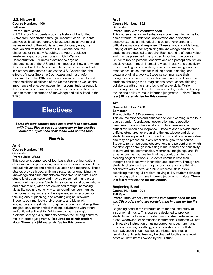### **U.S. History 8 Course Number: 1408 Full Year**

### **Prerequisite:** *None*

In US History 8, students study the history of the United States from colonization through Reconstruction. Students analyze political, economic, religious and social events and issues related to the colonial and revolutionary eras, the creation and ratification of the U.S. Constitution, the challenges of the early Republic, the Age of Jackson, westward expansion, sectionalism, Civil War and Reconstruction. Students examine the physical characteristics of the U.S. and their impact on how and where Americans lived, the American beliefs and principles reflected in historical documents such as the U.S. Constitution, the effects of major Supreme Court cases and major reform movements of the 19th century and examine the rights and responsibilities of citizens of the United States as well as the importance of effective leadership in a constitutional republic. A wide variety of primary and secondary source material is used to teach the strands of knowledge and skills listed in the TEKS.

## **Electives**

*Some elective courses have costs and fees associated with them. Please see your counselor or the elective educator if you need assistance with course fees.*

### **Fine Arts**

### **Art 6 Course Number: 1751 Semester Prerequisite:** *None*

This course is comprised of four basic strands- foundations: observation and perception; creative expression; historical and cultural relevance; and critical evaluation and response. These strands provide broad, unifying structures for organizing the knowledge and skills students are expected to acquire. Each strand is of equal value and may be presented in any order throughout the course. Students rely on personal observations and perceptions, which are developed through increasing visual literacy and sensitivity to surroundings, communities, memories, imaginings, and life experiences, as sources for thinking about, planning, and creating original artworks. Students communicate their thoughts and ideas with innovation and creativity. Through art, students challenge their imaginations, foster critical thinking, collaborate with others, and build reflective skills. While exercising meaningful problem-solving skills, students develop the lifelong ability to make informed judgments. **Required for all 6th graders. Note: There is a \$10 materials fee for this course.**

### **Art 7**

### **Course Number: 1752 Semester**

### **Prerequisite:** *Art 6 recommended*

This course expands and enhances student learning in the four basic strands--foundations: observation and perception; creative expression; historical and cultural relevance; and critical evaluation and response. These strands provide broad, unifying structures for organizing the knowledge and skills students are expected to acquire. Each strand is of equal value and may be presented in any order throughout the course. Students rely on personal observations and perceptions, which are developed through increasing visual literacy and sensitivity to surroundings, communities, memories, imaginings, and life experiences, as sources for thinking about, planning, and creating original artworks. Students communicate their thoughts and ideas with innovation and creativity. Through art, students challenge their imaginations, foster critical thinking, collaborate with others, and build reflective skills. While exercising meaningful problem-solving skills, students develop the lifelong ability to make informed judgments. **Note: There is a \$20 materials fee for this course.**

### **Art 8**

### **Course Number: 1753 Semester Prerequisite:** *Art 7 recommended*

This course expands and enhances student learning in the four basic strands--foundations: observation and perception; creative expression; historical and cultural relevance; and critical evaluation and response. These strands provide broad, unifying structures for organizing the knowledge and skills students are expected to acquire. Each strand is of equal value and may be presented in any order throughout the course. Students rely on personal observations and perceptions, which are developed through increasing visual literacy and sensitivity to surroundings, communities, memories, imaginings, and life experiences, as sources for thinking about, planning, and creating original artworks. Students communicate their thoughts and ideas with innovation and creativity. Through art, students challenge their imaginations, foster critical thinking, collaborate with others, and build reflective skills. While exercising meaningful problem-solving skills, students develop the lifelong ability to make informed judgments. **Note: There is a \$20 materials fee for this course.**

### **Beginning Band Course Number: 1901 Full Year**

### **Prerequisite:** *None; This course is recommended for 6th and 7th graders who are participating in band for the first time*

Beginning band is the introduction to the focused study of instrumental music. This course is designed to provide students with a focused introduction to instrumental music in brass, woodwind, or percussion instruments. Students will not only receive instruction on using correct embouchure, hand position, posture, breathing, and articulations but will also learn advanced fingerings, scales, vibrato, and music terminology. A rental fee may be charged to offset any repair costs on instruments owned by the District.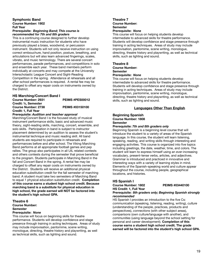### **Symphonic Band Course Number: 1902 Full Year Prerequisite:** *Beginning Band; This course is recommended for 7th and 8th graders*

This is a continuing course designed to further develop instrumental music instruction for students who have previously played a brass, woodwind, or percussion instrument. Students will not only receive instruction on using correct embouchure, hand position, posture, breathing, and articulations but will also learn advanced fingerings, scales, vibrato, and music terminology. There are several concert performances, parade performances, and competitions in solo and ensemble each year. These band members perform individually at concerts and may compete at the University Interscholastic League Concert and Sight-Reading Competition in the spring. Attendance at rehearsals and all after-school performances is required. A rental fee may be charged to offset any repair costs on instruments owned by the District.

### **HS Marching/Concert Band I**

**Course Number: 2931 PEIMS #PES00012 Credit: ½, Semester Course Number: 2738 PEIMS #03150100 Credit: 1, Full Year**

### **Prerequisite:** *Audition and teacher approval*

Marching/Concert Band I is the focused study of musical instrument performance skills, basic and advanced music theory, sight-reading skills, marching, concert, ensemble, and solo skills. Participation in band is subject to instructor placement determined by an audition to assess the student's instrumental technique and music reading skill. All band students are required to participate in rehearsals and performances before and after school. The Viking Marching Band performs at all appropriate football games and pep rallies. The group also participates in all UIL related contests and others contests during the semester that prove beneficial to the program. Students participate in Marching Band in the fall and Concert Band in the spring. A rental fee may be charged to offset any repair costs on instruments owned by the District. Students will receive an additional physical education substitution credit for the fall semester of marching band. A student must take two semesters of Marching Band to equal 1 physical education substitution credit. **Completion of this course earns a student high school credit. Because marching band is a substitute for physical education in high school, the grade earned will NOT be factored into the student's high school GPA.**

### **Theatre 6 Course Number:**

**Semester**

### **Prerequisite:** *None*

This course will focus on beginning skills for theatre performance. Students will develop confidence and stage presence through training in acting techniques. Areas of study may include improvisation, pantomime, scene writing, monologue, directing, theatre history and playwriting, as well as technical skills, such as lighting and sound.

### **Theatre 7**

**Course Number: Semester**

### **Prerequisite:** *None*

This course will focus on helping students develop intermediate to advanced skills for theatre performance. Students will develop confidence and stage presence through training in acting techniques. Areas of study may include improvisation, pantomime, scene writing, monologue, directing, theatre history and playwriting, as well as technical skills, such as lighting and sound.

### **Theatre 8 Course Number: Semester Prerequisite:** *None*

This course will focus on helping students develop intermediate to advanced skills for theatre performance. Students will develop confidence and stage presence through training in acting techniques. Areas of study may include improvisation, pantomime, scene writing, monologue, directing, theatre history and playwriting, as well as technical skills, such as lighting and sound.

### **Languages Other Than English**

### **Beginning Spanish Course Number: 1808 Semester**

### **Prerequisite:** *7th and 8th graders only*

Beginning Spanish is a beginning level course that will introduce the student to a variety of areas of the Spanish language. In this course, the student will learn listening, speaking, reading, and writing skills through interesting and engaging activities. This course is organized into five topics including greetings, the date, weather, time, and colors. The student will learn to express himself using an ever-increasing vocabulary, present-tense verbs, articles, and adjectives. Grammar is introduced and practiced in innovative and interesting ways with a variety of learning styles in mind. Elements of the Spanish-speaking world and culture appear throughout the course, including people, geographical locations, and histories.

### **HS Spanish I**

### **Course Number: 1802 PEIMS #03440100**

**HS Credit: 1, Full Year Prerequisite:** *8th graders only; Beginning Spanish strongly recommended*

HS Spanish I provides an introduction to the five Cs: *communication* (speaking, listening, reading, writing), *culture* (understanding of the people, practices, products and perspectives), *connections* (with other subject areas), *comparisons* (own culture/language with another), and *communities* (using language beyond the school setting for personal and career development). **Completion of this course earns a student high school credit. The grade earned will be factored into the student's high school GPA.**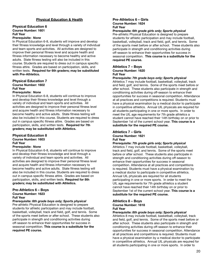### **Physical Education & Health**

### **Physical Education 6 Course Number: 1601 Full Year**

### **Prerequisite:** *None*

In Physical Education 6-8, students will improve and develop their fitness knowledge and level through a variety of individual and team sports and activities. All activities are designed to improve their personal fitness level and acquire health and fitness information necessary to become healthy and active adults. State fitness testing will also be included in this course. Students are required to dress out in campus specific fitness attire. Grades are based on participation, skills, and written tests. **Required for 6th graders; may be substituted with Pre-Athletics.**

### **Physical Education 7**

### **Course Number: 1602 Full Year**

### **Prerequisite:** *None*

In Physical Education 6-8, students will continue to improve and develop their fitness knowledge and level through a variety of individual and team sports and activities. All activities are designed to improve their personal fitness level and acquire health and fitness information necessary to become healthy and active adults. State fitness testing will also be included in this course. Students are required to dress out in campus specific fitness attire. Grades are based on participation, skills, and written tests. **Required for 7th graders; may be substituted with Athletics.**

### **Physical Education 8 Course Number: 1603 Full Year**

### **Prerequisite:** *None*

In Physical Education 6-8, students will continue to improve and develop their fitness knowledge and level through a variety of individual and team sports and activities. All activities are designed to improve their personal fitness level and acquire health and fitness information necessary to become healthy and active adults. State fitness testing will also be included in this course. Students are required to dress out in campus specific fitness attire. Grades are based on participation, skills, and written tests. **Required for 8th graders; may be substituted with Athletics.**

### **Pre-Athletics 6 – Boys Course Number: 1623 Full Year**

### **Prerequisite:** *6th grade boys only; Sports physical*

Pre-athletic Physical Education is designed to prepare students for athletic participation and may include football, basketball, volleyball, track and field, golf, and tennis. Some of the sports meet before or after school. These students also participate in strength and conditioning activities during off-season to enhance their opportunities for success in seasonal competition. **This course is a substitute for the required PE course.**

### **Pre-Athletics 6 – Girls Course Number: 1624 Full Year**

### **Prerequisite:** *6th grade girls only; Sports physical*

Pre-athletic Physical Education is designed to prepare students for athletic participation and may include football, basketball, volleyball, track and field, golf, and tennis. Some of the sports meet before or after school. These students also participate in strength and conditioning activities during off-season to enhance their opportunities for success in seasonal competition. **This course is a substitute for the required PE course.**

### **Athletics 7 – Boys Course Number: 1620 Full Year**

### **Prerequisite:** *7th grade boys only; Sports physical*

Athletics 7 may include football, basketball, volleyball, track and field, golf, and tennis. Some of the sports meet before or after school. These students also participate in strength and conditioning activities during off-season to enhance their opportunities for success in seasonal competition. Attendance at all practices and competitions is required. Students must have a physical examination by a medical doctor to participate in competitive athletics. Annual UIL physicals are required for all students participating in one or more sports. In order to meet the UIL age requirements for 7th grade athletics a student cannot have reached their 14th birthday on or prior to September 1st of the current school year. **This course is a substitute for the required PE course.**

### **Athletics 7 – Girls Course Number: 1621 Full Year**

### **Prerequisite:** *7th grade girls only; Sports physical*

Athletics 7 may include football, basketball, volleyball, track and field, golf, and tennis. Some of the sports meet before or after school. These students also participate in strength and conditioning activities during off-season to enhance their opportunities for success in seasonal competition. Attendance at all practices and competitions is required. Students must have a physical examination by a medical doctor to participate in competitive athletics. Annual UIL physicals are required for all students participating in one or more sports. In order to meet the UIL age requirements for 7th grade athletics a student cannot have reached their 14th birthday on or prior to September 1st of the current school year. **This course is a substitute for the required PE course.**

### **Athletics 8 – Boys Course Number: 1618 Full Year**

### **Prerequisite:** *8th grade boys only; Sports physical*

Athletics 8 may include football, basketball, volleyball, track and field, golf, and tennis. Some of the sports meet before or after school. These students also participate in strength and conditioning activities during off-season to enhance their opportunities for success in seasonal competition. Attendance at all practices and competitions is required. Students must have a physical examination by a medical doctor to participate in competitive athletics. Annual UIL physicals are required for all students participating in one or more sports. In order to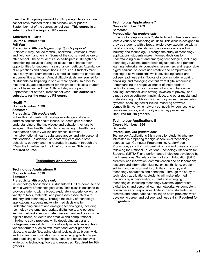meet the UIL age requirement for 8th grade athletics a student cannot have reached their 15th birthday on or prior to September 1st of the current school year. **This course is a substitute for the required PE course.**

### **Athletics 8 – Girls Course Number: 1619 Full Year**

**Prerequisite:** *8th grade girls only; Sports physical*

Athletics 8 may include football, basketball, volleyball, track and field, golf, and tennis. Some of the sports meet before or after school. These students also participate in strength and conditioning activities during off-season to enhance their opportunities for success in seasonal competition. Attendance at all practices and competitions is required. Students must have a physical examination by a medical doctor to participate in competitive athletics. Annual UIL physicals are required for all students participating in one or more sports. In order to meet the UIL age requirement for 8th grade athletics a student cannot have reached their 15th birthday on or prior to September 1st of the current school year. **This course is a substitute for the required PE course.**

### **Health 7**

**Course Number: 1830 Semester**

### **Prerequisite:** *7th graders only*

In Health 7, students will develop knowledge and skills to address adolescent health issues. Students gain a better understanding of the knowledge and behavior they use to safeguard their health, particularly pertaining to health risks. Major areas of study will include fitness, nutrition, mental/emotional health, substance abuse, and interpersonal relationships. In addition, students will learn about safe behaviors, puberty, and the reproductive system through the "Draw the Line-Respect the Line" curriculum. **This is a required course.**

### **Technology Applications**

### **Technology Applications 6 Course Number: 1810 Semester**

### **Prerequisite:** *6th graders only*

In Technology Applications 6, students will utilize computers to learn a variety of technological units. This class is designed to provide students with a broad, exploratory experience with a variety of tools, materials, and processes associated with industry and technology. Through the study of technology applications, students make informed decisions by understanding current and emerging technologies, including technology systems, appropriate digital tools, and personal learning networks. As competent researchers and responsible digital citizens, students use creative and computational thinking to solve problems while developing career and college readiness skills. Topics of study include: using files in various formats such as text, raster and vector graphics, video, and audio files; using digital tools such as blogs, wikis, audio/video communication, or other emerging technologies; and practicing safe, responsible, legal, and ethical behavior while using technology tools and resources. **Required for 6th graders.**

### **Technology Applications 7 Course Number: 1763 Semester**

### **Prerequisite:** *7th graders only*

In Technology Applications 7, students will utilize computers to learn a variety of technological units. This class is designed to provide students with a broad, exploratory experience with a variety of tools, materials, and processes associated with industry and technology. Through the study of technology applications, students make informed decisions by understanding current and emerging technologies, including technology systems, appropriate digital tools, and personal learning networks. As competent researchers and responsible digital citizens, students use creative and computational thinking to solve problems while developing career and college readiness skills. Topics of study include: acquiring, analyzing, and managing content from digital resources; understanding the negative impact of inappropriate technology use, including online bullying and harassment, hacking, intentional virus setting, invasion of privacy, and piracy such as software, music, video, and other media; and understanding troubleshooting techniques such as restarting systems, checking power issues, resolving software compatibility, verifying network connectivity, connecting to remote resources, and modifying display properties. **Required for 7th graders.**

### **Technology Applications 8 Course Number: 1764 Semester**

### **Prerequisite:** *8th graders only*

Technology Applications 8 is a class for students who are interested in preparing for high school level technology courses (e.g., Computer Programming, Audio/Video Production, etc.). Each student will study and create a product following the National Educational Technology Standards for Students (NETS•S) and performance indicators developed by the International Society for Technology in Education (ISTE): creativity and innovation; communication and collaboration; research and information fluency; critical thinking, problem solving, and decision making; digital citizenship; and technology operations and concepts. Through the study of technology applications, students will make informed decisions by understanding current and emerging technologies, including technology systems, appropriate digital tools, and personal learning networks. As competent researchers and responsible digital citizens, students use creative and computational thinking to solve problems while developing career and college readiness skills. **Required for 8th graders.**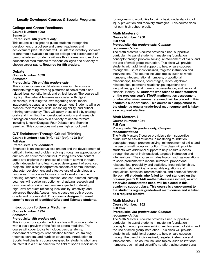### **Locally Developed Courses & Special Programs**

### **College and Career Readiness Course Number: 1992 Semester**

### **Prerequisite:** *8th graders only*

This course is designed to guide students through the development of a college and career readiness and achievement plan. Students will use interest inventory software or other tools available to explore college and career areas of personal interest. Students will use this information to explore educational requirements for various colleges and a variety of chosen career paths. **Required for 8th graders.**

### **Debate**

**Course Number: 1820 Semester**

### **Prerequisite:** *7th and 8th graders only*

This course focuses on debate as a medium to educate students regarding evolving platforms of social media and related legal, constitutional, and ethical issues. The course will highlight the debatable issues associated with digital citizenship, including the laws regarding social media, inappropriate usage, and online harassment. Students will also practice their research skills, reasoning ability, and critical thinking competency. They will apply these skills by sharing orally and in writing their developed opinions and research findings on course topics in a variety of debate formats including Lincoln/Douglas, Four Debater, and Socratic Seminar. This course does not earn high school credit.

### **G/T Enrichment Through Critical Thinking Course Number: 1726 (6th), 1727 (7th), 1728 (8th) Full Year**

### **Prerequisite:** *G/T identified*

Emphasis is on intellectual exploration and the development of critical thinking and problem solving through an appreciation of cultures. An enrichment curriculum integrates core content areas and explores the process of problem solving through both independent and team-based development of advanced projects. This class incorporates aspects of communication, character development and effective use of technology and resources. This course focuses on skill development in thinking, research, communication, and self-directed learning. Learners will receive instruction emphasizing research and communication skills. Learners are expected to develop high-level products reflecting individuality, creativity, and advanced thought. Assessment is based on both product quality and process skill. **This class is designed to meet specific needs of identified Gifted and Talented students**.

### **Introduction To Sports Medicine Course Number: 1994 Semester**

### **Prerequisite:** *8th graders only*

This introductory sports medicine class will provide students with a basic preview of the field of sports medicine. The course will cover topics to include: basic anatomy, assessment strategies, rehabilitation techniques, training theories, careers, and nutrition education. Introduction to Sports Medicine is a course designed for students who have an interest in a future career in the field of sports medicine or for anyone who would like to gain a basic understanding of injury prevention and recovery strategies. This course does not earn high school credit.

### **Math Masters 6**

### **Course Number: 1950 Full Year Prerequisite:** *6th graders only; Campus recommendation*

The Math Masters 6 course provides a rich, supportive curriculum to assist students in mastering foundation concepts through problem solving, reinforcement of skills, and the use of small group instruction. This class will provide students with additional support to help ensure success through the use of individualized, targeted instruction and interventions. The course includes topics, such as whole numbers, integers, rational numbers, proportional relationships, fractions, percentages, ratios, algebraic relationships, geometric relationships, equations and inequalities, graphical numeric representation, and personal financial literacy. **All students who failed to meet standard on the previous year's STAAR mathematics assessment, or who otherwise demonstrate need, will be placed in this academic support class. This course is a supplement to the student's regular grade-level math course and is taken as a required elective.**

### **Math Masters 7**

**Course Number: 1951 Full Year**

### **Prerequisite:** *7th graders only; Campus recommendation*

The Math Masters 7 course provides a rich, supportive curriculum to assist students in mastering foundation concepts through problem solving, reinforcement of skills, and the use of small group instruction. This class will provide students with additional support to help ensure success through the use of individualized, targeted instruction and interventions. The course includes topics, such as operations to solve problems with rational numbers, proportional relationships, probability and statistics, linear relationships, geometric relationships, one-variable equations and inequalities, statistical representations, and personal financial literacy. **All students who failed to meet standard on the previous year's STAAR mathematics assessment, or who otherwise demonstrate need, will be placed in this academic support class. This course is a supplement to the student's regular grade-level math course and is taken as a required elective.**

### **Math Masters 8**

**Course Number: 1952 Full Year Prerequisite:** *8th graders only; Campus recommendation*

The Math Masters 8 course provides a rich, supportive curriculum to assist students in mastering foundation concepts through problem solving, reinforcement of skills, and the use of small group instruction. This class will provide students with additional support to help ensure success through the use of individualized, targeted instruction and interventions. The course includes topics, such as irrational numbers, decimal and scientific notation, using proportional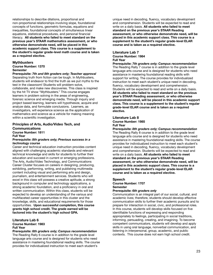relationships to describe dilations, proportional and non-proportional relationships involving slope, foundational concepts of functions, geometric formulas, equations and inequalities, foundational concepts of simultaneous linear equations, statistical procedures, and personal financial literacy. **All students who failed to meet standard on the previous year's STAAR mathematics assessment, or who otherwise demonstrate need, will be placed in this academic support class. This course is a supplement to the student's regular grade-level math course and is taken as a required elective.**

### **Mythbusters**

**Course Number: 1370 Semester**

**Prerequisite:** *7th and 8th graders only; Teacher approval* Separating truth from fiction can be tough. In Mythbusters, students will endeavor to find the truth as we put myths to the test in the classroom! Students will problem-solve, collaborate, and make new discoveries. This class is inspired by the hit TV show "Mythbusters." This course engages learners in problem solving in the areas of engineering, forensic science and emerging media. Through inquiry and project based learning, learners will hypothesize, acquire and analyze data, and formulate conclusions. Learners, as investigators, will experience science as the application of mathematics and science as a vehicle for making meaning within a scientific investigation.

### **Principles of Arts, Audio/Video Tech, and Communications**

**Course Number: 1811 Full Year**

### **Prerequisite:** *8th graders only; Previous success in a technology course*

Career and technical education instruction provides content aligned with challenging academic standards and relevant technical knowledge and skills for students to further their education and succeed in current or emerging professions. The Arts, Audio/Video Technology, and Communications Career Cluster focuses on careers in designing, producing, exhibiting, performing, writing, and publishing multimedia content including visual and performing arts and design, journalism, and entertainment services. Students who will excel in this class will possess a creative aptitude, a strong background in computer and technology applications, a strong academic foundation, and a proficiency in oral and written communication. Within this class, students will be expected to develop an understanding of the various and multifaceted career opportunities in this cluster and the knowledge, skills, and educational requirements for those opportunities. **Upon successful completion, this course grants high school credit. The grade earned will be factored into the student's high school GPA.**

### **Literature Lab 6**

**Course Number: 1983 Full Year**

**Prerequisite:** *6th graders only; Campus recommendation* The Reading Rally 6 course is in addition to the grade level language arts course and is designed for students who need assistance in mastering foundational reading skills. The course provides for individualized instruction to meet each student's

unique need in decoding, fluency, vocabulary development and comprehension. Students will be expected to read and write on a daily basis. **All students who failed to meet standard on the previous year's STAAR Reading assessment, or who otherwise demonstrate need, will be placed in this academic support class. This course is a supplement to the student's regular grade-level ELAR course and is taken as a required elective.**

### **Literature Lab 7 Course Number: 1984 Full Year**

**Prerequisite:** *7th graders only; Campus recommendation* The Reading Rally 7 course is in addition to the grade level language arts course and is designed for students who need assistance in mastering foundational reading skills with support for writing. The course provides for individualized instruction to meet each student's unique need in decoding, fluency, vocabulary development and comprehension. Students will be expected to read and write on a daily basis. **All students who failed to meet standard on the previous year's STAAR Reading assessment, or who otherwise demonstrate need, will be placed in this academic support class. This course is a supplement to the student's regular grade-level ELAR course and is taken as a required elective.**

### **Literature Lab 8**

**Course Number: 1985 Full Year**

**Prerequisite:** *8th graders only; Campus recommendation* The Reading Rally 8 course is in addition to the grade level language arts course and is designed for students who need assistance in mastering foundational reading skills. The course provides for individualized instruction to meet each student's unique need in decoding, fluency, vocabulary development and comprehension. Students will be expected to read and write on a daily basis. **All students who failed to meet standard on the previous year's STAAR Reading assessment, or who otherwise demonstrate need, will be placed in this academic support class. This course is a supplement to the student's regular grade-level ELAR course and is taken as a required elective.**

### **Speech Course Number: 1707 Semester**

### **Prerequisite:** *6th graders only*

Communication is an integral part of our social, cultural, and academic lives; therefore, students should develop effective communication skills to further their academic pursuits and to prepare for interaction in social, civic, and professional roles. In this course, students will develop skills focused on five identifiable functions of expressing and responding appropriately to feelings, participating in social traditions, informing, persuading, creating, and imagining. To become competent communicators, students will develop and apply skills in using oral language, nonverbal communication, and listening in interpersonal, group, academic, and public contexts. This course does not earn high school credit.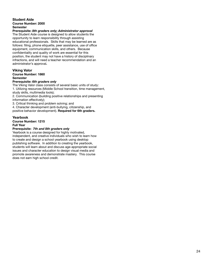### **Student Aide Course Number: 2000 Semester**

### **Prerequisite:** *8th graders only; Administrator approval*

The Student Aide course is designed to allow students the opportunity to learn responsibility through assisting educational professionals. Skills that may be learned are as follows: filing, phone etiquette, peer assistance, use of office equipment, communication skills, and others. Because confidentiality and quality of work are essential for this position, the student may not have a history of disciplinary infractions, and will need a teacher recommendation and an administrator's approval**.**

### **Viking Valor Course Number: 1860 Semester**

### **Prerequisite:** *6th graders only*

The Viking Valor class consists of several basic units of study: 1. Utilizing resources (Middle School transition, time management, study skills, multimedia tools);

2. Communication (building positive relationships and presenting information effectively);

3. Critical thinking and problem solving; and

4. Character development (anti-bullying, citizenship, and positive behavior development). **Required for 6th graders.**

### **Yearbook**

**Course Number: 1215**

### **Full Year**

### **Prerequisite:** *7th and 8th graders only*

Yearbook is a course designed for highly motivated, independent, and creative individuals who wish to learn how to create and design a school yearbook using desktop publishing software. In addition to creating the yearbook, students will learn about and discuss age-appropriate social issues and character education to design visual media and promote awareness and demonstrate mastery. This course does not earn high school credit.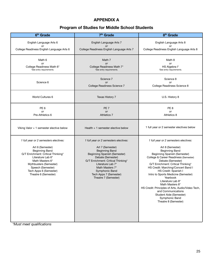### **APPENDIX A**

### **Program of Studies for Middle School Students**

| 6 <sup>th</sup> Grade                                                                                                                                                                                                                                             | 7 <sup>th</sup> Grade                                                                                                                                                                                                                                                                     | 8 <sup>th</sup> Grade                                                                                                                                                                                                                                                                                                                                                                                                                                                                                                          |
|-------------------------------------------------------------------------------------------------------------------------------------------------------------------------------------------------------------------------------------------------------------------|-------------------------------------------------------------------------------------------------------------------------------------------------------------------------------------------------------------------------------------------------------------------------------------------|--------------------------------------------------------------------------------------------------------------------------------------------------------------------------------------------------------------------------------------------------------------------------------------------------------------------------------------------------------------------------------------------------------------------------------------------------------------------------------------------------------------------------------|
| English Language Arts 6<br>or<br>College Readiness English Language Arts 6                                                                                                                                                                                        | English Language Arts 7<br>or<br>College Readiness English Language Arts 7                                                                                                                                                                                                                | English Language Arts 8<br>or<br>College Readiness English Language Arts 8                                                                                                                                                                                                                                                                                                                                                                                                                                                     |
| Math 6<br><b>or</b><br>College Readiness Math 6*<br>*See entry requirements.                                                                                                                                                                                      | Math 7<br><b>or</b><br>College Readiness Math 7*<br>*See entry requirements.                                                                                                                                                                                                              | Math 8<br>or<br>HS Algebra I*<br>*See entry requirements.                                                                                                                                                                                                                                                                                                                                                                                                                                                                      |
| Science 6                                                                                                                                                                                                                                                         | Science 7<br>or<br>College Readiness Science 7                                                                                                                                                                                                                                            | Science 8<br>or<br>College Readiness Science 8                                                                                                                                                                                                                                                                                                                                                                                                                                                                                 |
| World Cultures 6                                                                                                                                                                                                                                                  | Texas History 7                                                                                                                                                                                                                                                                           | U.S. History 8                                                                                                                                                                                                                                                                                                                                                                                                                                                                                                                 |
| PE <sub>6</sub><br><b>or</b><br>Pre-Athletics 6                                                                                                                                                                                                                   | PE <sub>7</sub><br>or<br><b>Athletics 7</b>                                                                                                                                                                                                                                               | PE <sub>8</sub><br><b>or</b><br>Athletics 8                                                                                                                                                                                                                                                                                                                                                                                                                                                                                    |
| Viking Valor + 1 semester elective below                                                                                                                                                                                                                          | Health $+1$ semester elective below                                                                                                                                                                                                                                                       | 1 full year or 2 semester electives below                                                                                                                                                                                                                                                                                                                                                                                                                                                                                      |
| 1 full year or 2 semesters electives:<br>Art 6 (Semester)<br><b>Beginning Band</b><br>G/T Enrichment: Critical Thinking*<br>Literature Lab 6*<br>Math Masters 6*<br>Mythbusters (Semester)<br>Speech (Semester)<br>Tech Apps 6 (Semester)<br>Theatre 6 (Semester) | 1 full year or 2 semesters electives:<br>Art 7 (Semester)<br><b>Beginning Band</b><br>Beginning Spanish (Semester)<br>Debate (Semester)<br>G/T Enrichment: Critical Thinking*<br>Literature Lab 7*<br>Math Masters 7*<br>Symphonic Band<br>Tech Apps 7 (Semester)<br>Theatre 7 (Semester) | 1 full year or 2 semesters electives:<br>Art 8 (Semester)<br><b>Beginning Band</b><br>Beginning Spanish (Semester)<br>College & Career Readiness (Semester)<br>Debate (Semester)<br>G/T Enrichment: Critical Thinking*<br>HS Credit: Marching/Concert Band I<br>HS Credit: Spanish I<br>Intro to Sports Medicine (Semester)<br>Yearbook<br>Literature Lab 8*<br>Math Masters 8*<br>HS Credit: Principles of Arts, Audio/Video Tech,<br>and Communications<br>Student Aide (Semester)<br>Symphonic Band<br>Theatre 8 (Semester) |

*\*Must meet qualifications*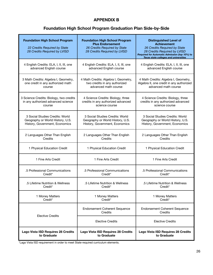### **APPENDIX B**

### **Foundation High School Program Graduation Plan Side-by-Side**

| <b>Foundation High School Program</b><br>22 Credits Required by State<br>28 Credits Required by LVISD | <b>Foundation High School Program</b><br><b>Plus Endorsement</b><br>26 Credits Required by State<br>28 Credits Required by LVISD | <b>Distinguished Level of</b><br><b>Achievement</b><br>26 Credits Required by State<br>28 Credits Required by LVISD<br>Required for Automatic Admission (top 10%) to<br>Texas state colleges and universities |  |
|-------------------------------------------------------------------------------------------------------|----------------------------------------------------------------------------------------------------------------------------------|---------------------------------------------------------------------------------------------------------------------------------------------------------------------------------------------------------------|--|
| 4 English Credits: ELA, I, II, III, one                                                               | 4 English Credits: ELA, I, II, III, one                                                                                          | 4 English Credits: ELA, I, II, III, one                                                                                                                                                                       |  |
| advanced English course                                                                               | advanced English course                                                                                                          | advanced English course                                                                                                                                                                                       |  |
| 3 Math Credits: Algebra I, Geometry,                                                                  | 4 Math Credits: Algebra I, Geometry,                                                                                             | 4 Math Credits: Algebra I, Geometry,                                                                                                                                                                          |  |
| one credit in any authorized math                                                                     | two credits in any authorized                                                                                                    | Algebra II, one credit in any authorized                                                                                                                                                                      |  |
| course                                                                                                | advanced math course                                                                                                             | advanced math course                                                                                                                                                                                          |  |
| 3 Science Credits: Biology, two credits                                                               | 4 Science Credits: Biology, three                                                                                                | 4 Science Credits: Biology, three                                                                                                                                                                             |  |
| in any authorized advanced science                                                                    | credits in any authorized advanced                                                                                               | credits in any authorized advanced                                                                                                                                                                            |  |
| course                                                                                                | science course                                                                                                                   | science course                                                                                                                                                                                                |  |
| 3 Social Studies Credits: World                                                                       | 3 Social Studies Credits: World                                                                                                  | 3 Social Studies Credits: World                                                                                                                                                                               |  |
| Geography or World History, U.S.                                                                      | Geography or World History, U.S.                                                                                                 | Geography or World History, U.S.                                                                                                                                                                              |  |
| History, Government, Economics                                                                        | History, Government, Economics                                                                                                   | History, Government, Economics                                                                                                                                                                                |  |
| 2 Languages Other Than English                                                                        | 2 Languages Other Than English                                                                                                   | 2 Languages Other Than English                                                                                                                                                                                |  |
| Credits                                                                                               | Credits                                                                                                                          | Credits                                                                                                                                                                                                       |  |
| 1 Physical Education Credit                                                                           | 1 Physical Education Credit                                                                                                      | 1 Physical Education Credit                                                                                                                                                                                   |  |
| 1 Fine Arts Credit                                                                                    | 1 Fine Arts Credit                                                                                                               | 1 Fine Arts Credit                                                                                                                                                                                            |  |
| .5 Professional Communications                                                                        | .5 Professional Communications                                                                                                   | .5 Professional Communications                                                                                                                                                                                |  |
| Credit <sup>*</sup>                                                                                   | Credit*                                                                                                                          | Credit <sup>*</sup>                                                                                                                                                                                           |  |
| .5 Lifetime Nutrition & Wellness                                                                      | .5 Lifetime Nutrition & Wellness                                                                                                 | .5 Lifetime Nutrition & Wellness                                                                                                                                                                              |  |
| Credit*                                                                                               | Credit*                                                                                                                          | Credit <sup>*</sup>                                                                                                                                                                                           |  |
| 1 Money Matters                                                                                       | 1 Money Matters                                                                                                                  | 1 Money Matters                                                                                                                                                                                               |  |
| Credit*                                                                                               | Credit*                                                                                                                          | Credit*                                                                                                                                                                                                       |  |
|                                                                                                       | <b>Endorsement Coherent Sequence</b><br>Credits                                                                                  | <b>Endorsement Coherent Sequence</b><br>Credits                                                                                                                                                               |  |
| <b>Elective Credits</b>                                                                               | Elective Credits                                                                                                                 | <b>Elective Credits</b>                                                                                                                                                                                       |  |
| Lago Vista ISD Requires 28 Credits                                                                    | Lago Vista ISD Requires 28 Credits                                                                                               | Lago Vista ISD Requires 28 Credits                                                                                                                                                                            |  |
| to Graduate                                                                                           | to Graduate                                                                                                                      | to Graduate                                                                                                                                                                                                   |  |

\*Lago Vista ISD requirement in order to meet State-required curriculum elements.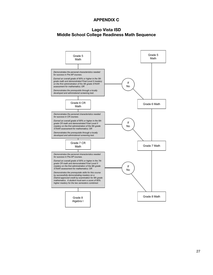### **APPENDIX C**

### **Lago Vista ISD Middle School College Readiness Math Sequence**